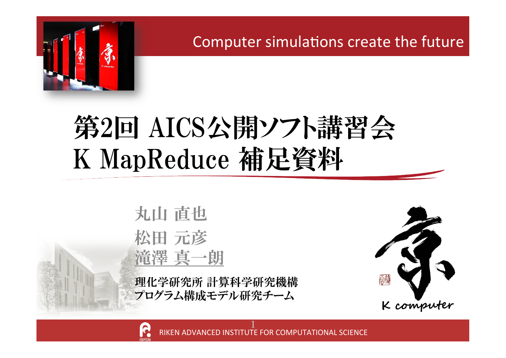

Computer simulations create the future

## 第2回 AICS公開ソフト講習会 K MapReduce 補足資料

丸山 直也 松田 元彦 滝澤 真一朗

理化学研究所 計算科学研究機構 プログラム構成モデル研究チーム



RIKEN ADVANCED INSTITUTE FOR COMPUTATIONAL SCIENCE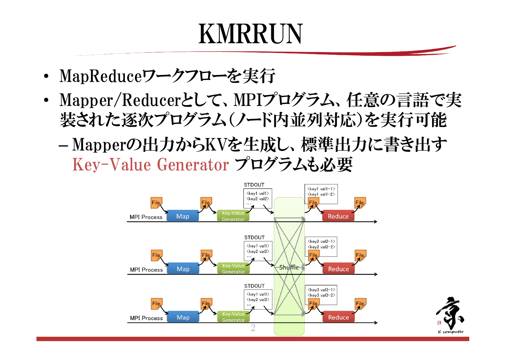## **KMRRIJN**

- MapReduceワークフローを実行
- Mapper/Reducerとして、MPIプログラム、任意の言語で実  $\bullet$ 装された逐次プログラム(ノード内並列対応)を実行可能
	- Mapperの出力からKVを生成し、標準出力に書き出す Key-Value Generator プログラムも必要

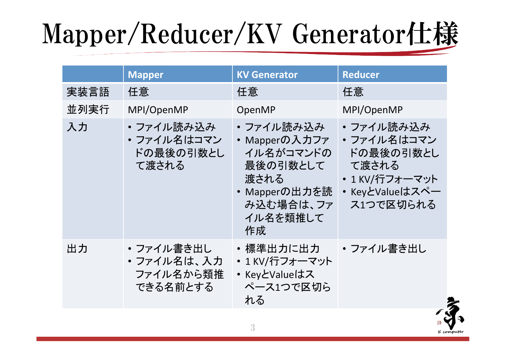# Mapper/Reducer/KV Generator仕様

|      | <b>Mapper</b>                                    | <b>KV Generator</b>                                                                                         | <b>Reducer</b>                                                                                  |
|------|--------------------------------------------------|-------------------------------------------------------------------------------------------------------------|-------------------------------------------------------------------------------------------------|
| 実装言語 | 任意                                               | 任意                                                                                                          | 任意                                                                                              |
| 並列実行 | MPI/OpenMP                                       | OpenMP                                                                                                      | MPI/OpenMP                                                                                      |
| 入力   | ・ファイル読み込み<br>• ファイル名はコマン<br>ドの最後の引数とし<br>て渡される   | ・ファイル読み込み<br>• Mapperの入力ファ<br>イル名がコマンドの<br>最後の引数として<br>渡される<br>• Mapperの出力を読<br>み込む場合は、ファ<br>イル名を類推して<br>作成 | ・ファイル読み込み<br>• ファイル名はコマン<br>ドの最後の引数とし<br>て渡される<br>• 1 KV/行フォーマット<br>・KeyとValueはスペー<br>ス1つで区切られる |
| 出力   | ・ファイル書き出し<br>・ファイル名は、入力<br>ファイル名から類推<br>できる名前とする | ・標準出力に出力<br>• 1 KV/行フォーマット<br>• KeyとValueはス<br>ペース1つで区切ら<br>れる                                              | ・ファイル書き出し                                                                                       |



 $\overline{3}$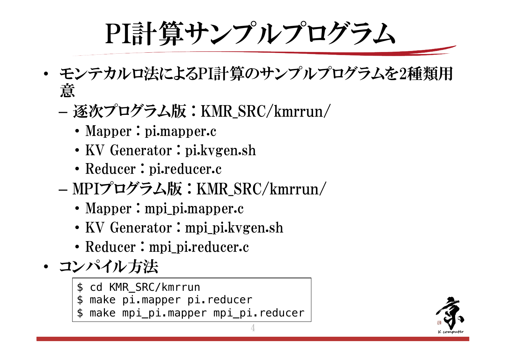# PI計算サンプルプログラム

- モンテカルロ法によるPI計算のサンプルプログラムを2種類用 意
	- 逐次プログラム版:KMR\_SRC/kmrrun/
		- Mapper : pi.mapper.c
		- KV Generator : pi.kvgen.sh
		- Reducer: pi.reducer.c
	- MPIプログラム版:KMR\_SRC/kmrrun/
		- Mapper: mpi\_pi.mapper.c
		- KV Generator: mpi\_pi.kvgen.sh
		- Reducer: mpi\_pi.reducer.c
- コンパイル方法
	- \$ cd KMR\_SRC/kmrrun
	- \$ make pi.mapper pi.reducer
	- make mpi\_pi.mapper mpi\_pi.reducer

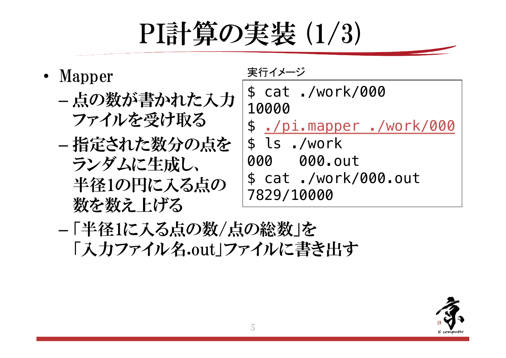## PI計算の実装 (1/3)

- Mapper
	- 点の数が書かれた入力 ファイルを受け取る
	- 指定された数分の点を ランダムに生成し、 半径1の円に入る点の 数を数え上げる

実行イメージ \$ cat ./work/000 10000 \$ /pi.mapper ./work/000 \$ ls ./work 000 000.out \$ cat ./work/000.out 7829/10000

- 「半径1に入る点の数/点の総数」を 「入力ファイル名.out」ファイルに書き出す

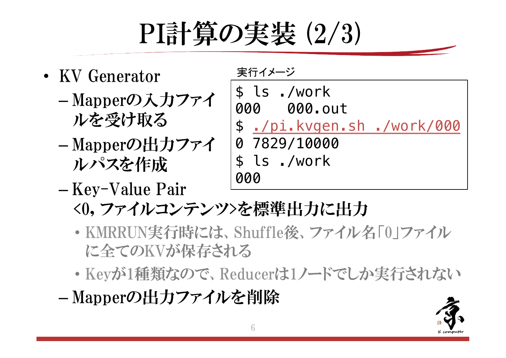

- KV Generator
	- Mapperの入力ファイ ルを受け取る
	- Mapperの出力ファイ ルパスを作成
	- -Key-Value Pair



- <0, ファイルコンテンツ>を標準出力に出力
- · KMRRUN実行時には、Shuffle後、ファイル名「0」ファイル に全てのKVが保存される
- · Keyが1種類なので、Reducerは1ノードでしか実行されない
- -Mapperの出力ファイルを削除

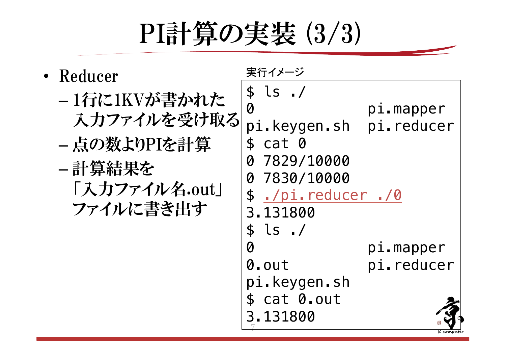

| • Reducer                                                                             | 実行イメージ                                                                                                                                                               |                         |
|---------------------------------------------------------------------------------------|----------------------------------------------------------------------------------------------------------------------------------------------------------------------|-------------------------|
| - 1行に1KVが書かれた<br>入力ファイルを受け取る<br>- 点の数よりPIを計算<br>- 計算結果を<br>「入力ファイル名.out」<br>ファイルに書き出す | \$ls. /<br>$\bm{\varnothing}$<br>pi.keygen.sh pi.reducer<br>cat 0<br>$\mathbf{f}$<br>7829/10000<br>Ø<br>7830/10000<br>Ø<br>\$ ./pi.reducer ./0<br>3.131800<br>\$ls.7 | pi.mapper               |
|                                                                                       | Ø<br>0.out                                                                                                                                                           | pi.mapper<br>pi.reducer |
|                                                                                       | pi.keygen.sh<br>cat 0.out<br>$\mathbf{E}$<br>3.131800                                                                                                                |                         |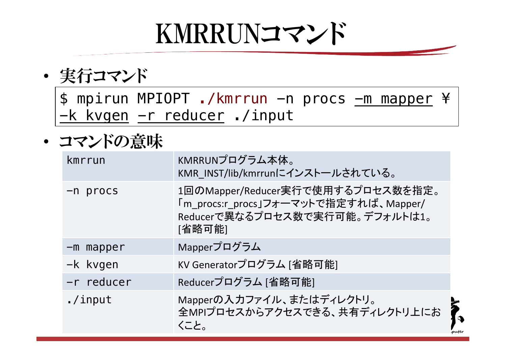## KMRRUNコマンド

• 実行コマンド

\$ mpirun MPIOPT ./kmrrun -n procs -m mapper ¥ -k kvgen -r reducer ./input

• コマンドの意味

| kmrrun      | KMRRUNプログラム本体。<br>KMR INST/lib/kmrrunにインストールされている。                                                                     |   |
|-------------|------------------------------------------------------------------------------------------------------------------------|---|
| -n procs    | 1回のMapper/Reducer実行で使用するプロセス数を指定。<br>「m procs:r procs」フォーマットで指定すれば、Mapper/<br>Reducerで異なるプロセス数で実行可能。デフォルトは1。<br>[省略可能] |   |
| $-m$ mapper | Mapperプログラム                                                                                                            |   |
| -k kvgen    | KV Generatorプログラム [省略可能]                                                                                               |   |
| -r reducer  | Reducerプログラム [省略可能]                                                                                                    |   |
| $./$ input  | Mapperの入力ファイル、またはディレクトリ。<br>全MPIプロセスからアクセスできる、共有ディレクトリ上にお<br>くこと。                                                      | F |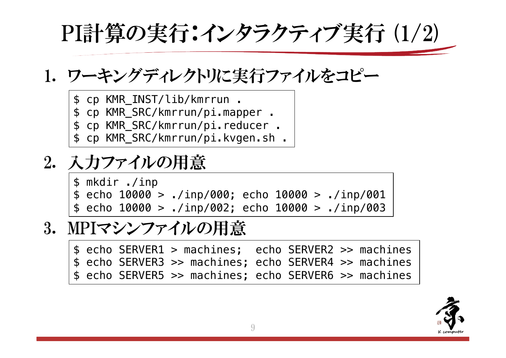PI計算の実行:インタラクティブ実行 (1/2)

### 1. ワーキングディレクトリに実行ファイルをコピー

- \$ cp KMR\_INST/lib/kmrrun .
- \$ cp KMR\_SRC/kmrrun/pi.mapper .
- \$ cp KMR\_SRC/kmrrun/pi.reducer .
- \$ cp KMR\_SRC/kmrrun/pi.kvgen.sh .

### 2. 入力ファイルの用意

\$ mkdir ./inp  $$ echo 10000 > ./inp/000; echo 10000 > ./inp/001$  $$ echo 10000 > ./inp/002; echo 10000 > ./inp/003$ 

### 3. MPIマシンファイルの用意

\$ echo SERVER1 > machines; echo SERVER2 >> machines \$ echo SERVER3 >> machines; echo SERVER4 >> machines \$ echo SERVER5 >> machines; echo SERVER6 >> machines

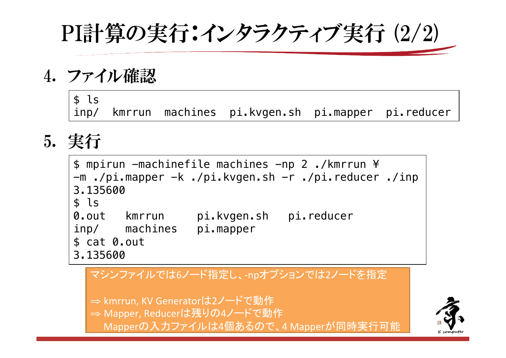PI計算の実行:インタラクティブ実行 (2/2)

4. ファイル確認

 $$1s$ kmrrun machines pi.kvgen.sh pi.mapper pi.reducer  $inp/$ 

## 5. 実行

\$ mpirun -machinefile machines -np 2./kmrrun ¥ -m ./pi.mapper -k ./pi.kvgen.sh -r ./pi.reducer ./inp 3.135600  $s$  ls 0. out kmrrun pi.kvgen.sh pi.reducer inp/ machines pi.mapper  $$cat 0.out$ 3.135600

#### マシンファイルでは6ノード指定し、-npオプションでは2ノードを指定

⇒ kmrrun, KV Generatorは2ノ一ドで動作

⇒ Mapper, Reducerは残りの4ノードで動作

Mapperの入力ファイルは4個あるので、4 Mapperが同時実行可能

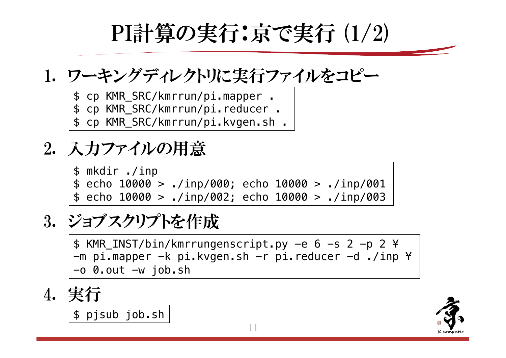PI計算の実行:京で実行 (1/2)

### 1. ワーキングディレクトリに実行ファイルをコピー

- \$ cp KMR\_SRC/kmrrun/pi.mapper .
- \$ cp KMR\_SRC/kmrrun/pi.reducer .
- \$ cp KMR\_SRC/kmrrun/pi.kvgen.sh .

## 2. 入力ファイルの用意

\$ mkdir ./inp  $$ echo 10000 > ./inp/000; echo 10000 > ./inp/001$  $$ echo 10000 > ./inp/002; echo 10000 > ./inp/003$ 

### 3. ジョブスクリプトを作成

\$ KMR\_INST/bin/kmrrungenscript.py -e 6 -s 2 -p 2 ¥  $-m$  pi.mapper  $-k$  pi.kvgen.sh  $-r$  pi.reducer  $-d$  ./inp  $*$  $-o$  0.out  $-w$  job.sh

4. 
$$
\frac{\cancel{137}}{\cancel{5} \text{ p} \cancel{5} \text{ sub} \cancel{5} \text{ ob} \cdot \text{sh}}
$$

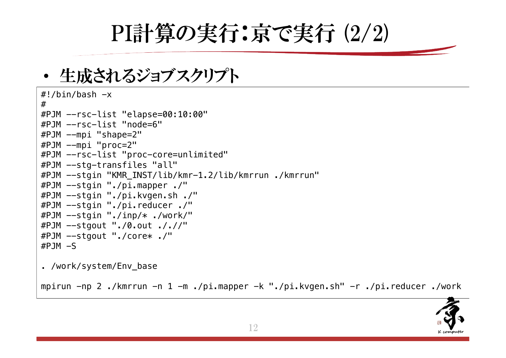PI計算の実行:京で実行 (2/2)

• 生成されるジョブスクリプト

```
\#!/bin/bash -x#
#PJM --rsc-list "elapse=00:10:00"
#PJM --rsc-list "node=6"
#PJM --mpi "shape=2"
#PJM --mpi "proc=2"
#PJM --rsc-list "proc-core=unlimited"
#PJM --stg-transfiles "all"
#PJM --stgin "KMR_INST/lib/kmr-1.2/lib/kmrrun ./kmrrun"
#PJM --stgin "./pi.mapper ./"
#PJM --stgin "./pi.kvgen.sh ./"
#PJM --stgin "./pi.reducer ./"
#PJM --stgin "./inp/* ./work/"
#PJM --stgout "./0.out ././/"
#PJM --stgout "./core* ./"
#PJM - S
```
. /work/system/Env\_base

mpirun -np 2 ./kmrrun -n 1 -m ./pi.mapper -k "./pi.kvgen.sh" -r ./pi.reducer ./work

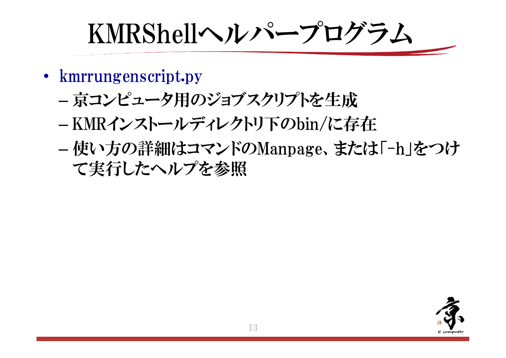KMRShellヘルパープログラム

- kmrrungenscript.py
	- 京コンピュータ用のジョブスクリプトを生成
	- -KMRインストールディレクトリ下のbin/に存在
	- 使い方の詳細はコマンドのManpage、または「-h」をつけ て実行したヘルプを参照

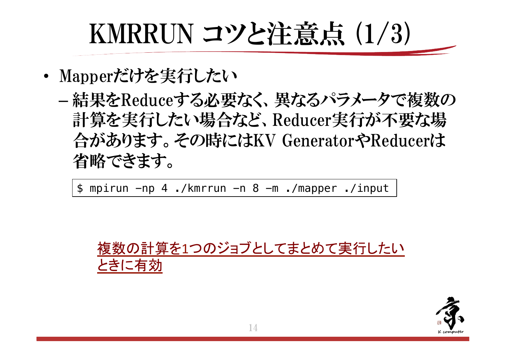## KMRRUN コツと注意点 (1/3)

- Mapperだけを実行したい
	- -結果をReduceする必要なく、異なるパラメータで複数の 計算を実行したい場合など、Reducer実行が不要な場 合があります。その時にはKV GeneratorやReducerは 省略できます。

 $$$  mpirun  $-np$  4./kmrrun  $-n$  8  $-m$ ./mapper./input



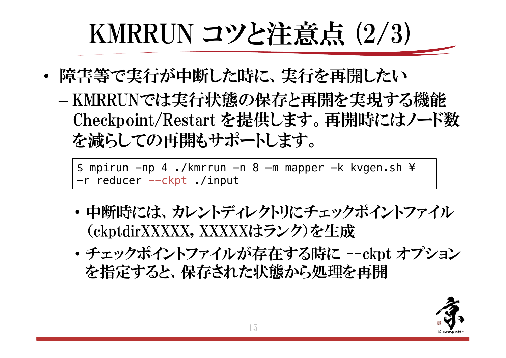# **KMRRUN コツと注意点 (2/3)**

- 障害等で実行が中断した時に、実行を再開したい
	- KMRRUNでは実行状態の保存と再開を実現する機能 Checkpoint/Restart を提供します。再開時にはノード数 を減らしての再開もサポートします。

\$ mpirun -np 4 ./kmrrun -n 8 -m mapper -k kvgen.sh ¥ -r reducer -- ckpt ./input

- 中断時には、カレントディレクトリにチェックポイントファイル (ckptdirXXXXX, XXXXXはランク)を生成
- チェックポイントファイルが存在する時に --ckpt オプション を指定すると、保存された状態から処理を再開

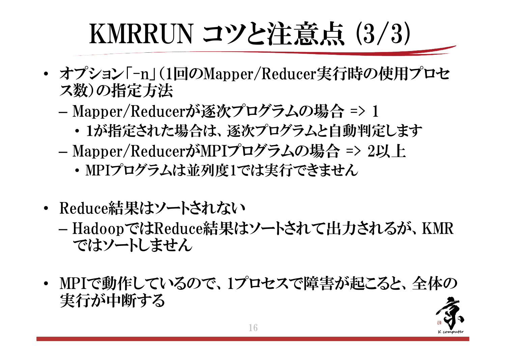# KMRRUN コツと注意点 (3/3)

- ・ オプション「-n」(1回のMapper/Reducer実行時の使用プロセ ス数)の指定方法
	- Mapper/Reducerが逐次プログラムの場合 => 1
		- 1が指定された場合は、逐次プログラムと自動判定します
	- Mapper/ReducerがMPIプログラムの場合 => 2以上
		- ・ MPIプログラムは並列度1では実行できません
- Reduce結果はソートされない
	- HadoopではReduce結果はソートされて出力されるが、KMR ではソートしません
- MPIで動作しているので、1プロセスで障害が起こると、全体の 実行が中断する

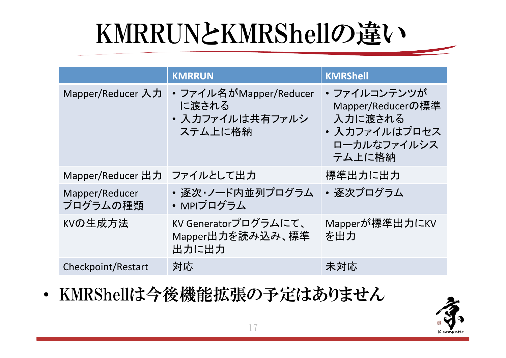## KMRRUNとKMRShellの違い

|                            | <b>KMRRUN</b>                                                 | <b>KMRShell</b>                                                                       |
|----------------------------|---------------------------------------------------------------|---------------------------------------------------------------------------------------|
| Mapper/Reducer 入力          | • ファイル名がMapper/Reducer<br>に渡される<br>• 入力ファイルは共有ファルシ<br>ステム上に格納 | ・ファイルコンテンツが<br>Mapper/Reducerの標準<br>入力に渡される<br>• 入力ファイルはプロセス<br>ローカルなファイルシス<br>テム上に格納 |
| Mapper/Reducer 出力          | ファイルとして出力                                                     | 標準出力に出力                                                                               |
| Mapper/Reducer<br>プログラムの種類 | • 逐次・ノード内並列プログラム<br>• MPIプログラム                                | • 逐次プログラム                                                                             |
| KVの生成方法                    | KV Generatorプログラムにて、<br>Mapper出力を読み込み、標準<br>出力に出力             | Mapperが標準出力にKV<br>を出力                                                                 |
| Checkpoint/Restart         | 対応                                                            | 未対応                                                                                   |

• KMRShellは今後機能拡張の予定はありません